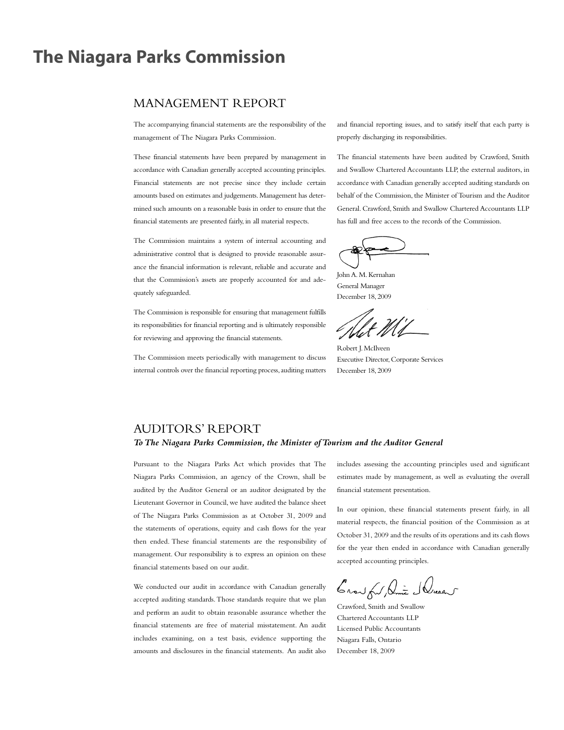### **The Niagara Parks Commission**

### MANAGEMENT REPORT

The accompanying financial statements are the responsibility of the management of The Niagara Parks Commission.

These financial statements have been prepared by management in accordance with Canadian generally accepted accounting principles. Financial statements are not precise since they include certain amounts based on estimates and judgements.Management has determined such amounts on a reasonable basis in order to ensure that the financial statements are presented fairly, in all material respects.

The Commission maintains a system of internal accounting and administrative control that is designed to provide reasonable assurance the financial information is relevant, reliable and accurate and that the Commission's assets are properly accounted for and adequately safeguarded.

The Commission is responsible for ensuring that management fulfills its responsibilities for financial reporting and is ultimately responsible for reviewing and approving the financial statements.

The Commission meets periodically with management to discuss internal controls over the financial reporting process, auditing matters and financial reporting issues, and to satisfy itself that each party is properly discharging its responsibilities.

The financial statements have been audited by Crawford, Smith and Swallow Chartered Accountants LLP, the external auditors, in accordance with Canadian generally accepted auditing standards on behalf of the Commission, the Minister of Tourism and the Auditor General. Crawford, Smith and Swallow Chartered Accountants LLP has full and free access to the records of the Commission.

John A. M. Kernahan General Manager December 18, 2009

Robert J.McIlveen Executive Director,Corporate Services December 18, 2009

### AUDITORS' REPORT

### *ToThe Niagara Parks Commission, the Minister ofTourism and the Auditor General*

Pursuant to the Niagara Parks Act which provides that The Niagara Parks Commission, an agency of the Crown, shall be audited by the Auditor General or an auditor designated by the Lieutenant Governor in Council, we have audited the balance sheet of The Niagara Parks Commission as at October 31, 2009 and the statements of operations, equity and cash flows for the year then ended. These financial statements are the responsibility of management. Our responsibility is to express an opinion on these financial statements based on our audit.

We conducted our audit in accordance with Canadian generally accepted auditing standards.Those standards require that we plan and perform an audit to obtain reasonable assurance whether the financial statements are free of material misstatement. An audit includes examining, on a test basis, evidence supporting the amounts and disclosures in the financial statements. An audit also includes assessing the accounting principles used and significant estimates made by management, as well as evaluating the overall financial statement presentation.

In our opinion, these financial statements present fairly, in all material respects, the financial position of the Commission as at October 31, 2009 and the results of its operations and its cash flows for the year then ended in accordance with Canadian generally accepted accounting principles.

Crow ful Dune Schuel

Crawford, Smith and Swallow Chartered Accountants LLP Licensed Public Accountants Niagara Falls, Ontario December 18, 2009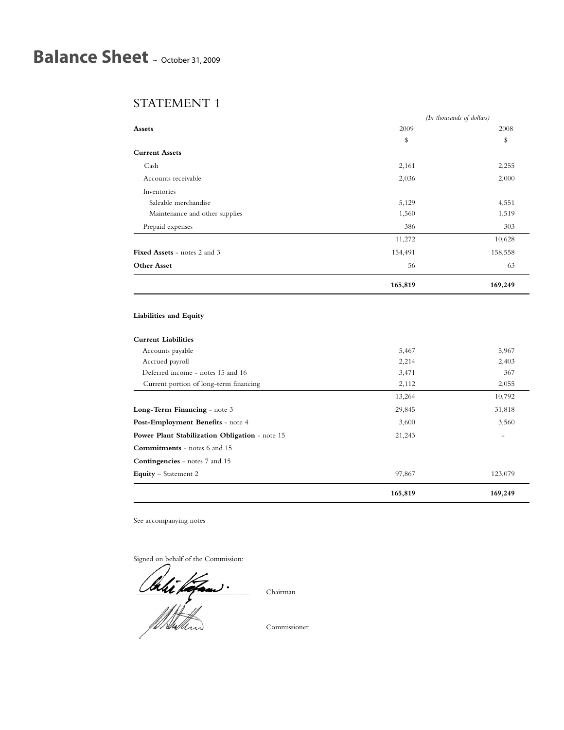# **Balance Sheet** <sup>~</sup> October 31, <sup>2009</sup>

### STATEMENT 1

|                                     | (In thousands of dollars) |         |
|-------------------------------------|---------------------------|---------|
| Assets                              | 2009                      | 2008    |
|                                     | \$                        | \$      |
| <b>Current Assets</b>               |                           |         |
| Cash                                | 2,161                     | 2,255   |
| Accounts receivable                 | 2,036                     | 2,000   |
| Inventories                         |                           |         |
| Saleable merchandise                | 5,129                     | 4,551   |
| Maintenance and other supplies      | 1,560                     | 1,519   |
| Prepaid expenses                    | 386                       | 303     |
|                                     | 11,272                    | 10,628  |
| <b>Fixed Assets - notes 2 and 3</b> | 154,491                   | 158,558 |
| <b>Other Asset</b>                  | 56                        | 63      |
|                                     | 165,819                   | 169,249 |

### **Liabilities and Equity**

### **Current Liabilities**

|                                                | 165,819 | 169,249                  |
|------------------------------------------------|---------|--------------------------|
| <b>Equity</b> – Statement 2                    | 97,867  | 123,079                  |
| <b>Contingencies</b> - notes 7 and 15          |         |                          |
| Commitments - notes 6 and 15                   |         |                          |
| Power Plant Stabilization Obligation - note 15 | 21,243  | $\overline{\phantom{a}}$ |
| Post-Employment Benefits - note 4              | 3,600   | 3,560                    |
| <b>Long-Term Financing</b> - note 3            | 29,845  | 31,818                   |
|                                                | 13,264  | 10,792                   |
| Current portion of long-term financing         | 2,112   | 2,055                    |
| Deferred income - notes 15 and 16              | 3,471   | 367                      |
| Accrued payroll                                | 2,214   | 2,403                    |
| Accounts payable                               | 5,467   | 5,967                    |

See accompanying notes

Signed on behalf of the Commission:

 $\frac{1}{\sqrt{1-\frac{1}{2}}\sqrt{1-\frac{1}{2}}\sqrt{1-\frac{1}{2}}\sqrt{1-\frac{1}{2}}\sqrt{1-\frac{1}{2}}\sqrt{1-\frac{1}{2}}\sqrt{1-\frac{1}{2}}\sqrt{1-\frac{1}{2}}\sqrt{1-\frac{1}{2}}\sqrt{1-\frac{1}{2}}\sqrt{1-\frac{1}{2}}\sqrt{1-\frac{1}{2}}\sqrt{1-\frac{1}{2}}\sqrt{1-\frac{1}{2}}\sqrt{1-\frac{1}{2}}\sqrt{1-\frac{1}{2}}\sqrt{1-\frac{1}{2}}\sqrt{1-\frac{1}{2}}\sqrt{1-\frac{1}{2}}\sqrt{1-\frac$ 

\_\_\_\_\_\_\_\_\_\_\_\_\_\_\_\_\_\_\_\_\_\_\_\_\_\_\_\_\_\_\_ Commissioner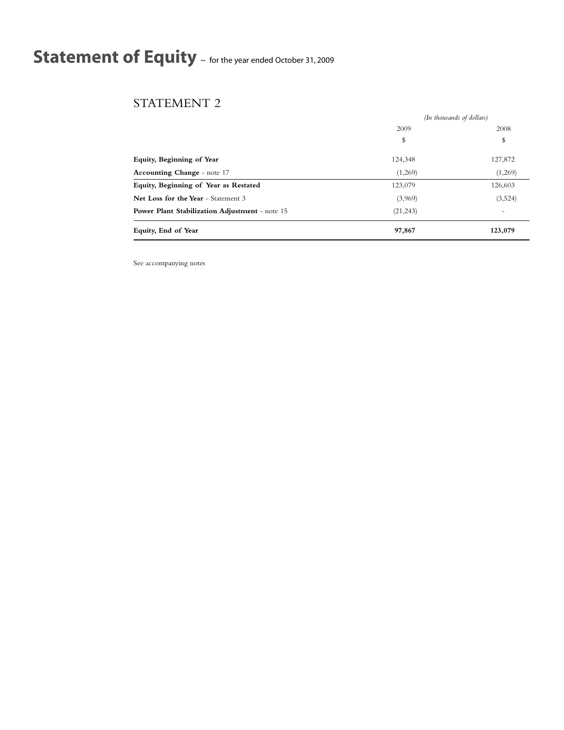# **Statement of Equity** <sup>~</sup> for the year ended October 31, <sup>2009</sup>

### STATEMENT 2

|                                                       | (In thousands of dollars) |         |
|-------------------------------------------------------|---------------------------|---------|
|                                                       | 2009                      | 2008    |
|                                                       | \$                        | \$      |
| <b>Equity, Beginning of Year</b>                      | 124,348                   | 127,872 |
| Accounting Change - note 17                           | (1,269)                   | (1,269) |
| Equity, Beginning of Year as Restated                 | 123,079                   | 126,603 |
| Net Loss for the Year - Statement 3                   | (3,969)                   | (3,524) |
| <b>Power Plant Stabilization Adjustment - note 15</b> | (21, 243)                 | -       |
| Equity, End of Year                                   | 97,867                    | 123,079 |

See accompanying notes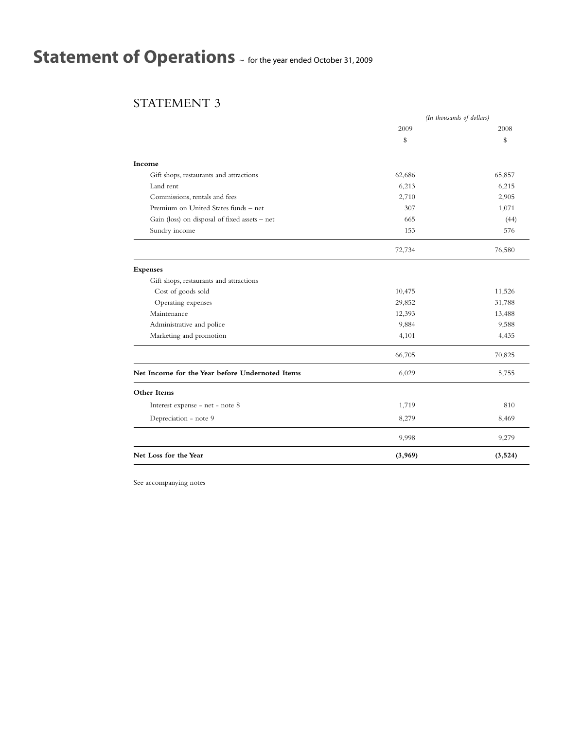# **Statement of Operations** <sup>~</sup> for the year ended October 31, <sup>2009</sup>

### STATEMENT 3

|                                                 |         | (In thousands of dollars) |
|-------------------------------------------------|---------|---------------------------|
|                                                 | 2009    | 2008                      |
|                                                 | \$      | \$                        |
| Income                                          |         |                           |
| Gift shops, restaurants and attractions         | 62,686  | 65,857                    |
| Land rent                                       | 6,213   | 6,215                     |
| Commissions, rentals and fees                   | 2,710   | 2,905                     |
| Premium on United States funds - net            | 307     | 1,071                     |
| Gain (loss) on disposal of fixed assets - net   | 665     | (44)                      |
| Sundry income                                   | 153     | 576                       |
|                                                 | 72,734  | 76,580                    |
| <b>Expenses</b>                                 |         |                           |
| Gift shops, restaurants and attractions         |         |                           |
| Cost of goods sold                              | 10,475  | 11,526                    |
| Operating expenses                              | 29,852  | 31,788                    |
| Maintenance                                     | 12,393  | 13,488                    |
| Administrative and police                       | 9,884   | 9,588                     |
| Marketing and promotion                         | 4,101   | 4,435                     |
|                                                 | 66,705  | 70,825                    |
| Net Income for the Year before Undernoted Items | 6,029   | 5,755                     |
| Other Items                                     |         |                           |
| Interest expense - net - note 8                 | 1,719   | 810                       |
| Depreciation - note 9                           | 8,279   | 8,469                     |
|                                                 | 9,998   | 9,279                     |
| Net Loss for the Year                           | (3,969) | (3,524)                   |

See accompanying notes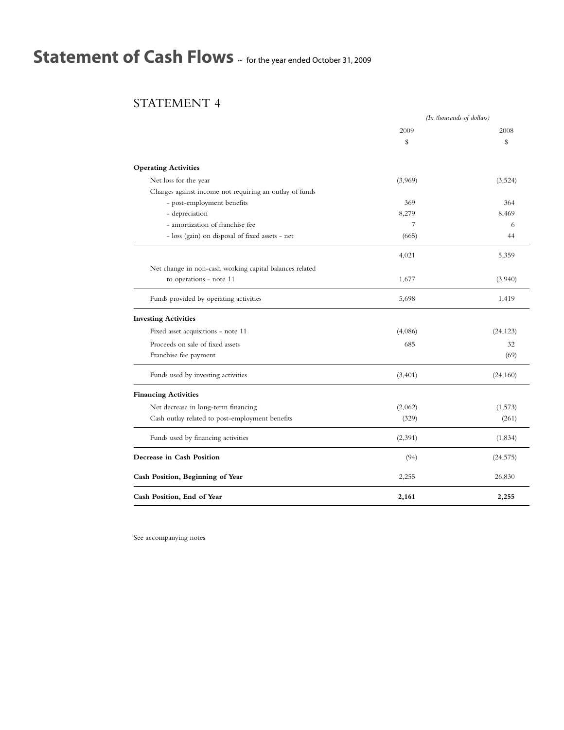# **Statement of Cash Flows** <sup>~</sup> for the year ended October 31, <sup>2009</sup>

### STATEMENT 4

|                                                         | (In thousands of dollars) |           |
|---------------------------------------------------------|---------------------------|-----------|
|                                                         | 2009                      | 2008      |
|                                                         | \$                        | \$        |
| <b>Operating Activities</b>                             |                           |           |
| Net loss for the year                                   | (3,969)                   | (3,524)   |
| Charges against income not requiring an outlay of funds |                           |           |
| - post-employment benefits                              | 369                       | 364       |
| - depreciation                                          | 8,279                     | 8,469     |
| - amortization of franchise fee                         | 7                         | 6         |
| - loss (gain) on disposal of fixed assets - net         | (665)                     | 44        |
|                                                         | 4,021                     | 5,359     |
| Net change in non-cash working capital balances related |                           |           |
| to operations - note 11                                 | 1,677                     | (3,940)   |
| Funds provided by operating activities                  | 5,698                     | 1,419     |
| <b>Investing Activities</b>                             |                           |           |
| Fixed asset acquisitions - note 11                      | (4,086)                   | (24, 123) |
| Proceeds on sale of fixed assets                        | 685                       | 32        |
| Franchise fee payment                                   |                           | (69)      |
| Funds used by investing activities                      | (3, 401)                  | (24, 160) |
| <b>Financing Activities</b>                             |                           |           |
| Net decrease in long-term financing                     | (2,062)                   | (1,573)   |
| Cash outlay related to post-employment benefits         | (329)                     | (261)     |
| Funds used by financing activities                      | (2,391)                   | (1, 834)  |
| Decrease in Cash Position                               | (94)                      | (24, 575) |
| Cash Position, Beginning of Year                        | 2,255                     | 26,830    |
| Cash Position, End of Year                              | 2,161                     | 2,255     |

See accompanying notes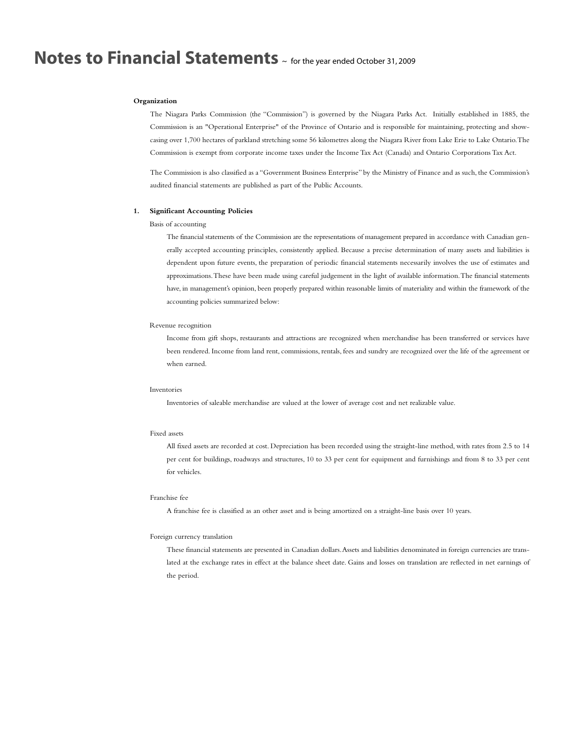#### **Organization**

The Niagara Parks Commission (the "Commission") is governed by the Niagara Parks Act. Initially established in 1885, the Commission is an "Operational Enterprise" of the Province of Ontario and is responsible for maintaining, protecting and showcasing over 1,700 hectares of parkland stretching some 56 kilometres along the Niagara River from Lake Erie to Lake Ontario.The Commission is exempt from corporate income taxes under the Income Tax Act (Canada) and Ontario Corporations Tax Act.

The Commission is also classified as a "Government Business Enterprise" by the Ministry of Finance and as such, the Commission's audited financial statements are published as part of the Public Accounts.

### **1. Significant Accounting Policies**

### Basis of accounting

The financial statements of the Commission are the representations of management prepared in accordance with Canadian generally accepted accounting principles, consistently applied. Because a precise determination of many assets and liabilities is dependent upon future events, the preparation of periodic financial statements necessarily involves the use of estimates and approximations.These have been made using careful judgement in the light of available information.The financial statements have, in management's opinion, been properly prepared within reasonable limits of materiality and within the framework of the accounting policies summarized below:

#### Revenue recognition

Income from gift shops, restaurants and attractions are recognized when merchandise has been transferred or services have been rendered. Income from land rent, commissions, rentals, fees and sundry are recognized over the life of the agreement or when earned.

#### Inventories

Inventories of saleable merchandise are valued at the lower of average cost and net realizable value.

### Fixed assets

All fixed assets are recorded at cost. Depreciation has been recorded using the straight-line method, with rates from 2.5 to 14 per cent for buildings, roadways and structures, 10 to 33 per cent for equipment and furnishings and from 8 to 33 per cent for vehicles.

#### Franchise fee

A franchise fee is classified as an other asset and is being amortized on a straight-line basis over 10 years.

#### Foreign currency translation

These financial statements are presented in Canadian dollars.Assets and liabilities denominated in foreign currencies are translated at the exchange rates in effect at the balance sheet date. Gains and losses on translation are reflected in net earnings of the period.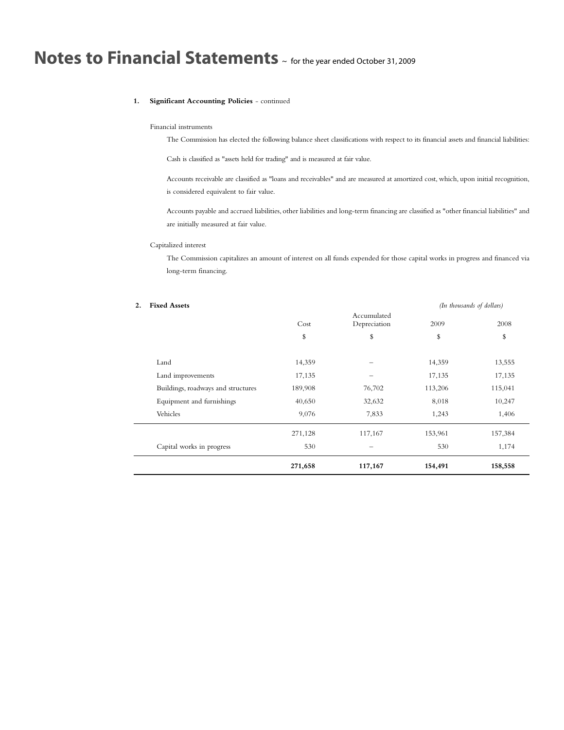### **1. Significant Accounting Policies** - continued

### Financial instruments

The Commission has elected the following balance sheet classifications with respect to its financial assets and financial liabilities:

Cash is classified as "assets held for trading" and is measured at fair value.

Accounts receivable are classified as "loans and receivables" and are measured at amortized cost, which, upon initial recognition, is considered equivalent to fair value.

Accounts payable and accrued liabilities, other liabilities and long-term financing are classified as "other financial liabilities" and are initially measured at fair value.

### Capitalized interest

L

The Commission capitalizes an amount of interest on all funds expended for those capital works in progress and financed via long-term financing.

| 2. | <b>Fixed Assets</b>                |         |                             |         | (In thousands of dollars) |
|----|------------------------------------|---------|-----------------------------|---------|---------------------------|
|    |                                    | Cost    | Accumulated<br>Depreciation | 2009    | 2008                      |
|    |                                    | \$      | \$                          | \$      | \$                        |
|    | Land                               | 14,359  |                             | 14,359  | 13,555                    |
|    | Land improvements                  | 17,135  |                             | 17,135  | 17,135                    |
|    | Buildings, roadways and structures | 189,908 | 76,702                      | 113,206 | 115,041                   |
|    | Equipment and furnishings          | 40,650  | 32,632                      | 8,018   | 10,247                    |
|    | Vehicles                           | 9,076   | 7,833                       | 1,243   | 1,406                     |
|    |                                    | 271,128 | 117,167                     | 153,961 | 157,384                   |
|    | Capital works in progress          | 530     |                             | 530     | 1,174                     |
|    |                                    | 271,658 | 117,167                     | 154,491 | 158,558                   |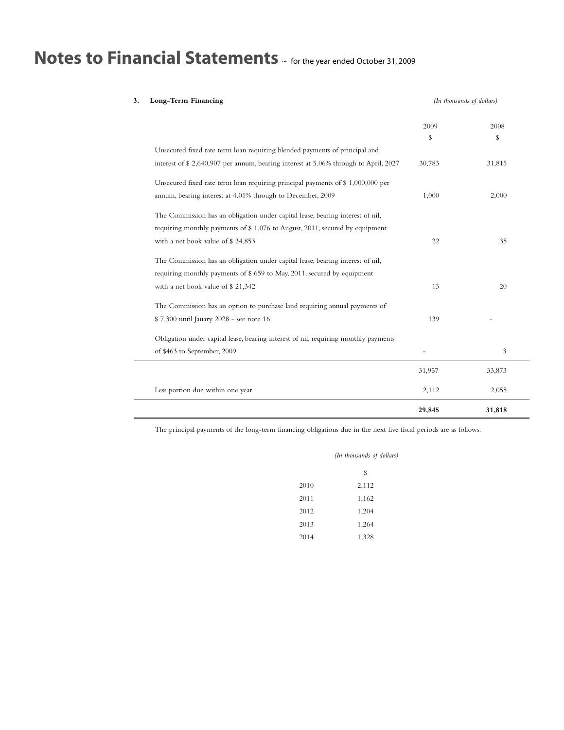| Long-Term Financing<br>3.                                                            |        | (In thousands of dollars) |
|--------------------------------------------------------------------------------------|--------|---------------------------|
|                                                                                      | 2009   | 2008                      |
|                                                                                      | \$     | \$                        |
| Unsecured fixed rate term loan requiring blended payments of principal and           |        |                           |
| interest of \$ 2,640,907 per annum, bearing interest at 5.06% through to April, 2027 | 30,783 | 31,815                    |
| Unsecured fixed rate term loan requiring principal payments of \$ 1,000,000 per      |        |                           |
| annum, bearing interest at 4.01% through to December, 2009                           | 1,000  | 2,000                     |
| The Commission has an obligation under capital lease, bearing interest of nil,       |        |                           |
| requiring monthly payments of \$1,076 to August, 2011, secured by equipment          |        |                           |
| with a net book value of \$34,853                                                    | 22     | 35                        |
| The Commission has an obligation under capital lease, bearing interest of nil,       |        |                           |
| requiring monthly payments of \$659 to May, 2011, secured by equipment               |        |                           |
| with a net book value of \$21,342                                                    | 13     | 20                        |
| The Commission has an option to purchase land requiring annual payments of           |        |                           |
| \$7,300 until Jauary 2028 - see note 16                                              | 139    |                           |
| Obligation under capital lease, bearing interest of nil, requiring monthly payments  |        |                           |
| of \$463 to September, 2009                                                          |        | 3                         |
|                                                                                      | 31,957 | 33,873                    |
| Less portion due within one year                                                     | 2,112  | 2,055                     |
|                                                                                      | 29,845 | 31,818                    |

The principal payments of the long-term financing obligations due in the next five fiscal periods are as follows:

|      | (In thousands of dollars) |
|------|---------------------------|
|      | \$                        |
| 2010 | 2,112                     |
| 2011 | 1,162                     |
| 2012 | 1,204                     |
| 2013 | 1,264                     |
| 2014 | 1,328                     |
|      |                           |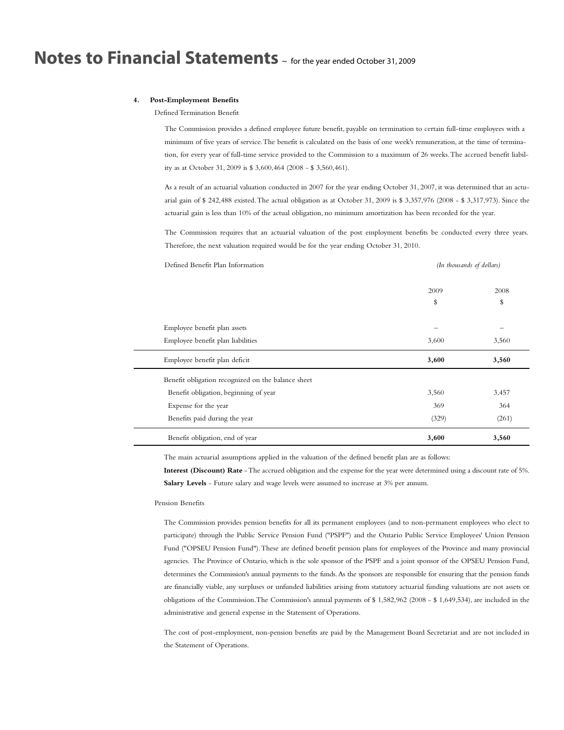### **4. Post-Employment Benefits**

Defined Termination Benefit

The Commission provides a defined employee future benefit, payable on termination to certain full-time employees with a minimum of five years of service.The benefit is calculated on the basis of one week's remuneration, at the time of termination, for every year of full-time service provided to the Commission to a maximum of 26 weeks.The accrued benefit liability as at October 31, 2009 is \$ 3,600,464 (2008 - \$ 3,560,461).

As a result of an actuarial valuation conducted in 2007 for the year ending October 31, 2007, it was determined that an actuarial gain of \$ 242,488 existed.The actual obligation as at October 31, 2009 is \$ 3,357,976 (2008 - \$ 3,317,973). Since the actuarial gain is less than 10% of the actual obligation, no minimum amortization has been recorded for the year.

The Commission requires that an actuarial valuation of the post employment benefits be conducted every three years. Therefore, the next valuation required would be for the year ending October 31, 2010.

| Defined Benefit Plan Information                   | (In thousands of dollars) |       |
|----------------------------------------------------|---------------------------|-------|
|                                                    | 2009                      | 2008  |
|                                                    | \$                        | \$    |
| Employee benefit plan assets                       | -                         |       |
| Employee benefit plan liabilities                  | 3,600                     | 3,560 |
| Employee benefit plan deficit                      | 3,600                     | 3,560 |
| Benefit obligation recognized on the balance sheet |                           |       |
| Benefit obligation, beginning of year              | 3,560                     | 3,457 |
| Expense for the year                               | 369                       | 364   |
| Benefits paid during the year                      | (329)                     | (261) |
| Benefit obligation, end of year                    | 3,600                     | 3,560 |

The main actuarial assumptions applied in the valuation of the defined benefit plan are as follows:

**Interest (Discount) Rate** -The accrued obligation and the expense for the year were determined using a discount rate of 5%. **Salary Levels** - Future salary and wage levels were assumed to increase at 3% per annum.

#### Pension Benefits

The Commission provides pension benefits for all its permanent employees (and to non-permanent employees who elect to participate) through the Public Service Pension Fund ("PSPF") and the Ontario Public Service Employees' Union Pension Fund ("OPSEU Pension Fund").These are defined benefit pension plans for employees of the Province and many provincial agencies. The Province of Ontario, which is the sole sponsor of the PSPF and a joint sponsor of the OPSEU Pension Fund, determines the Commission's annual payments to the funds.As the sponsors are responsible for ensuring that the pension funds are financially viable, any surpluses or unfunded liabilities arising from statutory actuarial funding valuations are not assets or obligations of the Commission.The Commission's annual payments of \$ 1,582,962 (2008 - \$ 1,649,534), are included in the administrative and general expense in the Statement of Operations.

The cost of post-employment, non-pension benefits are paid by the Management Board Secretariat and are not included in the Statement of Operations.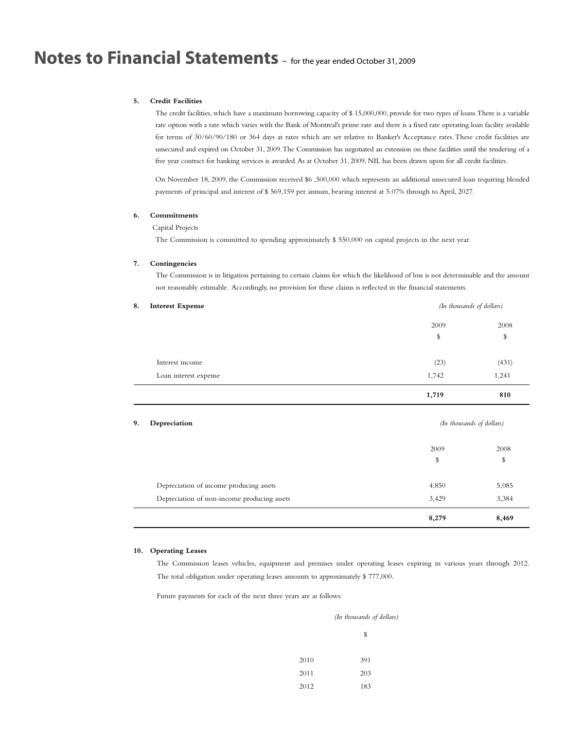### **5. Credit Facilities**

The credit facilities, which have a maximum borrowing capacity of \$ 15,000,000, provide for two types of loans.There is a variable rate option with a rate which varies with the Bank of Montreal's prime rate and there is a fixed rate operating loan facility available for terms of 30/60/90/180 or 364 days at rates which are set relative to Banker's Acceptance rates.These credit facilities are unsecured and expired on October 31, 2009.The Commission has negotiated an extension on these facilities until the tendering of a five year contract for banking services is awarded.As at October 31, 2009, NIL has been drawn upon for all credit facilities.

On November 18, 2009, the Commission received \$6 ,500,000 which represents an additional unsecured loan requiring blended payments of principal and interest of \$ 569,159 per annum, bearing interest at 5.07% through to April, 2027.

### **6. Commitments**

### Capital Projects

The Commission is committed to spending approximately \$ 550,000 on capital projects in the next year.

### **7. Contingencies**

The Commission is in litigation pertaining to certain claims for which the likelihood of loss is not determinable and the amount not reasonably estimable. Accordingly, no provision for these claims is reflected in the financial statements.

| 8. | <b>Interest Expense</b>                     |       | (In thousands of dollars) |  |
|----|---------------------------------------------|-------|---------------------------|--|
|    |                                             | 2009  | 2008                      |  |
|    |                                             | \$    | \$                        |  |
|    | Interest income                             | (23)  | (431)                     |  |
|    | Loan interest expense                       | 1,742 | 1,241                     |  |
|    |                                             | 1,719 | 810                       |  |
| 9. | Depreciation                                |       | (In thousands of dollars) |  |
|    |                                             | 2009  | 2008                      |  |
|    |                                             | \$    | \$                        |  |
|    | Depreciation of income producing assets     | 4,850 | 5,085                     |  |
|    | Depreciation of non-income producing assets | 3,429 | 3,384                     |  |
|    |                                             | 8,279 | 8,469                     |  |

### **10. Operating Leases**

The Commission leases vehicles, equipment and premises under operating leases expiring in various years through 2012. The total obligation under operating leases amounts to approximately \$ 777,000.

Future payments for each of the next three years are as follows:

|      | (In thousands of dollars) |
|------|---------------------------|
|      | \$                        |
| 2010 | 391                       |
| 2011 | 203                       |
| 2012 | 183                       |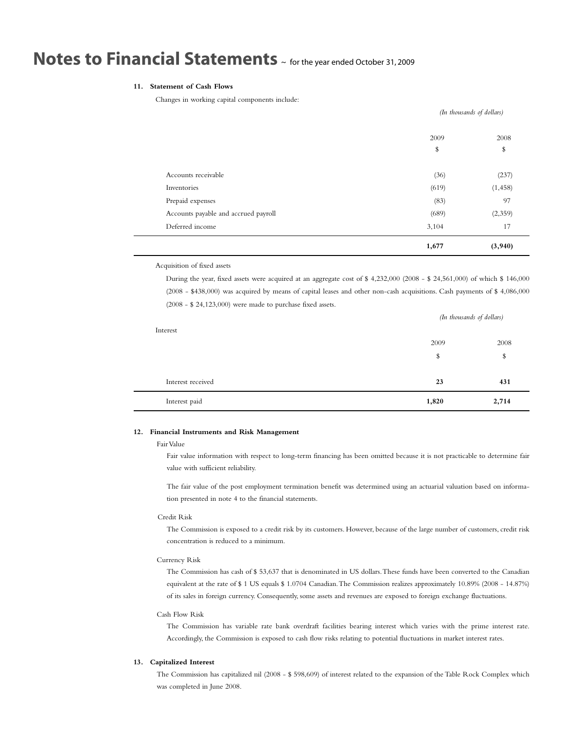### **11. Statement of Cash Flows**

Changes in working capital components include:

|                                      | (In thousands of dollars) |            |
|--------------------------------------|---------------------------|------------|
|                                      | 2009<br>\$                | 2008<br>\$ |
|                                      |                           |            |
| Accounts receivable                  | (36)                      | (237)      |
| Inventories                          | (619)                     | (1, 458)   |
| Prepaid expenses                     | (83)                      | 97         |
| Accounts payable and accrued payroll | (689)                     | (2,359)    |
| Deferred income                      | 3,104                     | 17         |
|                                      | 1,677                     | (3,940)    |

Acquisition of fixed assets

During the year, fixed assets were acquired at an aggregate cost of \$ 4,232,000 (2008 - \$ 24,561,000) of which \$ 146,000 (2008 - \$438,000) was acquired by means of capital leases and other non-cash acquisitions. Cash payments of \$ 4,086,000 (2008 - \$ 24,123,000) were made to purchase fixed assets.

| Interest          |       | (In thousands of dollars) |  |
|-------------------|-------|---------------------------|--|
|                   | 2009  | 2008                      |  |
|                   | \$    | \$                        |  |
|                   |       |                           |  |
| Interest received | 23    | 431                       |  |
| Interest paid     | 1,820 | 2,714                     |  |

### **12. Financial Instruments and Risk Management**

### Fair Value

Fair value information with respect to long-term financing has been omitted because it is not practicable to determine fair value with sufficient reliability.

The fair value of the post employment termination benefit was determined using an actuarial valuation based on information presented in note 4 to the financial statements.

### Credit Risk

The Commission is exposed to a credit risk by its customers. However, because of the large number of customers, credit risk concentration is reduced to a minimum.

### Currency Risk

The Commission has cash of \$ 53,637 that is denominated in US dollars.These funds have been converted to the Canadian equivalent at the rate of \$ 1 US equals \$ 1.0704 Canadian.The Commission realizes approximately 10.89% (2008 - 14.87%) of its sales in foreign currency. Consequently, some assets and revenues are exposed to foreign exchange fluctuations.

### Cash Flow Risk

The Commission has variable rate bank overdraft facilities bearing interest which varies with the prime interest rate. Accordingly, the Commission is exposed to cash flow risks relating to potential fluctuations in market interest rates.

### **13. Capitalized Interest**

The Commission has capitalized nil (2008 - \$ 598,609) of interest related to the expansion of the Table Rock Complex which was completed in June 2008.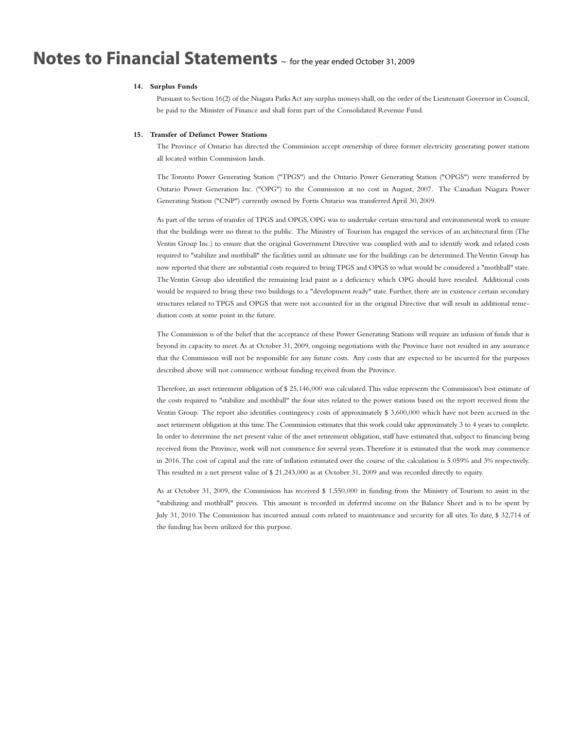### **14. Surplus Funds**

Pursuant to Section 16(2) of the Niagara Parks Act any surplus moneys shall, on the order of the Lieutenant Governor in Council, be paid to the Minister of Finance and shall form part of the Consolidated Revenue Fund.

#### **15. Transfer of Defunct Power Stations**

The Province of Ontario has directed the Commission accept ownership of three former electricity generating power stations all located within Commission lands.

The Toronto Power Generating Station ("TPGS") and the Ontario Power Generating Station ("OPGS") were transferred by Ontario Power Generation Inc. ("OPG") to the Commission at no cost in August, 2007. The Canadian Niagara Power Generating Station ("CNP") currently owned by Fortis Ontario was transferred April 30, 2009.

As part of the terms of transfer of TPGS and OPGS, OPG was to undertake certain structural and environmental work to ensure that the buildings were no threat to the public. The Ministry of Tourism has engaged the services of an architectural firm (The Ventin Group Inc.) to ensure that the original Government Directive was complied with and to identify work and related costs required to "stabilize and mothball" the facilities until an ultimate use for the buildings can be determined.TheVentin Group has now reported that there are substantial costs required to bringTPGS and OPGS to what would be considered a "mothball" state. The Ventin Group also identified the remaining lead paint as a deficiency which OPG should have resealed. Additional costs would be required to bring these two buildings to a "development ready" state. Further, there are in existence certain secondary structures related to TPGS and OPGS that were not accounted for in the original Directive that will result in additional remediation costs at some point in the future.

The Commission is of the belief that the acceptance of these Power Generating Stations will require an infusion of funds that is beyond its capacity to meet.As at October 31, 2009, ongoing negotiations with the Province have not resulted in any assurance that the Commission will not be responsible for any future costs. Any costs that are expected to be incurred for the purposes described above will not commence without funding received from the Province.

Therefore, an asset retirement obligation of \$25,146,000 was calculated. This value represents the Commission's best estimate of the costs required to "stabilize and mothball" the four sites related to the power stations based on the report received from the Ventin Group. The report also identifies contingency costs of approximately \$ 3,600,000 which have not been accrued in the asset retirement obligation at this time.The Commission estimates that this work could take approximately 3 to 4 years to complete. In order to determine the net present value of the asset retirement obligation, staff have estimated that, subject to financing being received from the Province, work will not commence for several years.Therefore it is estimated that the work may commence in 2016.The cost of capital and the rate of inflation estimated over the course of the calculation is 5.059% and 3% respectively. This resulted in a net present value of \$ 21,243,000 as at October 31, 2009 and was recorded directly to equity.

As at October 31, 2009, the Commission has received \$ 1,550,000 in funding from the Ministry of Tourism to assist in the "stabilizing and mothball" process. This amount is recorded in deferred income on the Balance Sheet and is to be spent by July 31, 2010.The Commission has incurred annual costs related to maintenance and security for all sites.To date, \$ 32,714 of the funding has been utilized for this purpose.